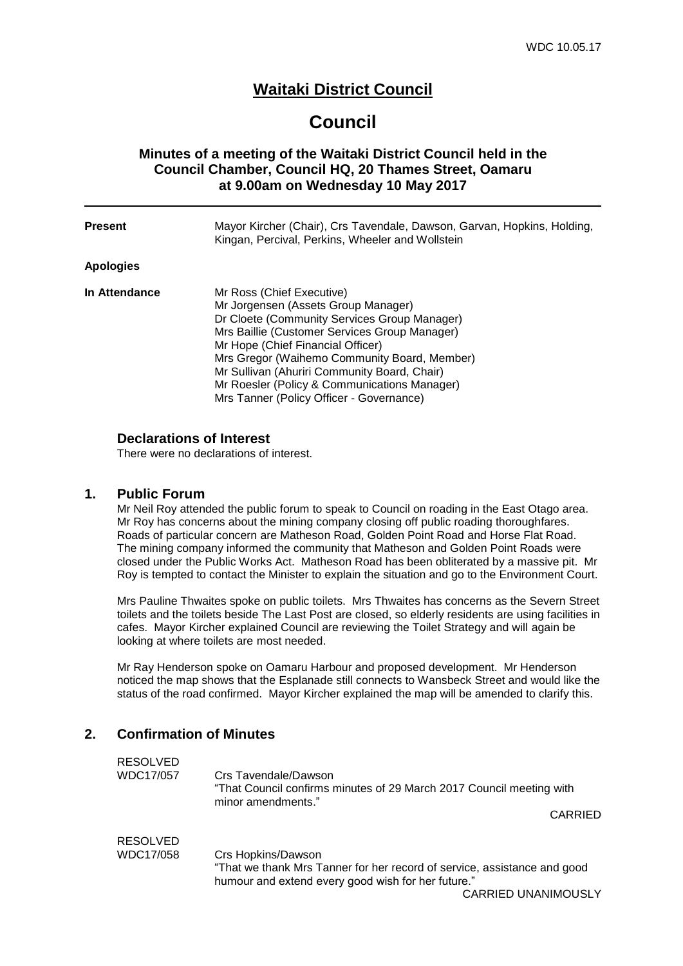# **Waitaki District Council**

# **Council**

# **Minutes of a meeting of the Waitaki District Council held in the Council Chamber, Council HQ, 20 Thames Street, Oamaru at 9.00am on Wednesday 10 May 2017**

| <b>Present</b>   | Mayor Kircher (Chair), Crs Tavendale, Dawson, Garvan, Hopkins, Holding,<br>Kingan, Percival, Perkins, Wheeler and Wollstein                                                                                                                                                                                                                                                                        |
|------------------|----------------------------------------------------------------------------------------------------------------------------------------------------------------------------------------------------------------------------------------------------------------------------------------------------------------------------------------------------------------------------------------------------|
| <b>Apologies</b> |                                                                                                                                                                                                                                                                                                                                                                                                    |
| In Attendance    | Mr Ross (Chief Executive)<br>Mr Jorgensen (Assets Group Manager)<br>Dr Cloete (Community Services Group Manager)<br>Mrs Baillie (Customer Services Group Manager)<br>Mr Hope (Chief Financial Officer)<br>Mrs Gregor (Waihemo Community Board, Member)<br>Mr Sullivan (Ahuriri Community Board, Chair)<br>Mr Roesler (Policy & Communications Manager)<br>Mrs Tanner (Policy Officer - Governance) |

## **Declarations of Interest**

There were no declarations of interest.

## **1. Public Forum**

Mr Neil Roy attended the public forum to speak to Council on roading in the East Otago area. Mr Roy has concerns about the mining company closing off public roading thoroughfares. Roads of particular concern are Matheson Road, Golden Point Road and Horse Flat Road. The mining company informed the community that Matheson and Golden Point Roads were closed under the Public Works Act. Matheson Road has been obliterated by a massive pit. Mr Roy is tempted to contact the Minister to explain the situation and go to the Environment Court.

Mrs Pauline Thwaites spoke on public toilets. Mrs Thwaites has concerns as the Severn Street toilets and the toilets beside The Last Post are closed, so elderly residents are using facilities in cafes. Mayor Kircher explained Council are reviewing the Toilet Strategy and will again be looking at where toilets are most needed.

Mr Ray Henderson spoke on Oamaru Harbour and proposed development. Mr Henderson noticed the map shows that the Esplanade still connects to Wansbeck Street and would like the status of the road confirmed. Mayor Kircher explained the map will be amended to clarify this.

# **2. Confirmation of Minutes**

| <b>RESOLVED</b> |                                                                                            |         |
|-----------------|--------------------------------------------------------------------------------------------|---------|
| WDC17/057       | Crs Tavendale/Dawson                                                                       |         |
|                 | "That Council confirms minutes of 29 March 2017 Council meeting with<br>minor amendments." |         |
|                 |                                                                                            | CARRIED |
| <b>RESOLVED</b> |                                                                                            |         |
| WDC17/058       | Crs Hopkins/Dawson                                                                         |         |
|                 | "That we thank Mrs Tanner for her record of service, assistance and good                   |         |

humour and extend every good wish for her future."

CARRIED UNANIMOUSLY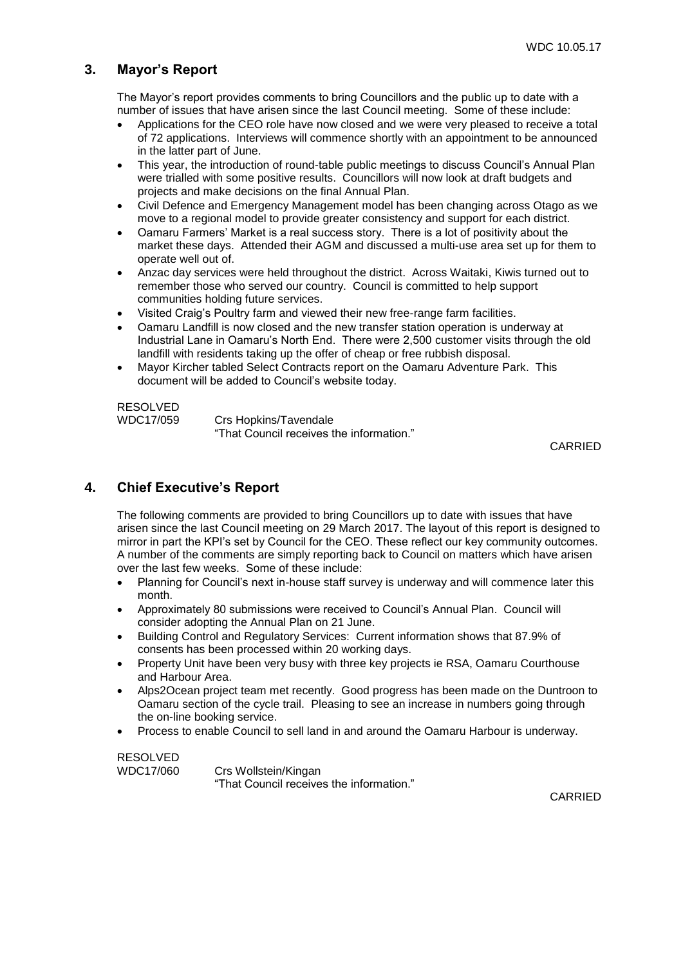# **3. Mayor's Report**

The Mayor's report provides comments to bring Councillors and the public up to date with a number of issues that have arisen since the last Council meeting. Some of these include:

- Applications for the CEO role have now closed and we were very pleased to receive a total of 72 applications. Interviews will commence shortly with an appointment to be announced in the latter part of June.
- This year, the introduction of round-table public meetings to discuss Council's Annual Plan were trialled with some positive results. Councillors will now look at draft budgets and projects and make decisions on the final Annual Plan.
- Civil Defence and Emergency Management model has been changing across Otago as we move to a regional model to provide greater consistency and support for each district.
- Oamaru Farmers' Market is a real success story. There is a lot of positivity about the market these days. Attended their AGM and discussed a multi-use area set up for them to operate well out of.
- Anzac day services were held throughout the district. Across Waitaki, Kiwis turned out to remember those who served our country. Council is committed to help support communities holding future services.
- Visited Craig's Poultry farm and viewed their new free-range farm facilities.
- Oamaru Landfill is now closed and the new transfer station operation is underway at Industrial Lane in Oamaru's North End. There were 2,500 customer visits through the old landfill with residents taking up the offer of cheap or free rubbish disposal.
- Mayor Kircher tabled Select Contracts report on the Oamaru Adventure Park. This document will be added to Council's website today.

# RESOLVED<br>WDC17/059

Crs Hopkins/Tavendale "That Council receives the information."

CARRIED

# **4. Chief Executive's Report**

The following comments are provided to bring Councillors up to date with issues that have arisen since the last Council meeting on 29 March 2017. The layout of this report is designed to mirror in part the KPI's set by Council for the CEO. These reflect our key community outcomes. A number of the comments are simply reporting back to Council on matters which have arisen over the last few weeks. Some of these include:

- Planning for Council's next in-house staff survey is underway and will commence later this month.
- Approximately 80 submissions were received to Council's Annual Plan. Council will consider adopting the Annual Plan on 21 June.
- Building Control and Regulatory Services: Current information shows that 87.9% of consents has been processed within 20 working days.
- Property Unit have been very busy with three key projects ie RSA, Oamaru Courthouse and Harbour Area.
- Alps2Ocean project team met recently. Good progress has been made on the Duntroon to Oamaru section of the cycle trail. Pleasing to see an increase in numbers going through the on-line booking service.
- Process to enable Council to sell land in and around the Oamaru Harbour is underway.

# RESOLVED

WDC17/060 Crs Wollstein/Kingan "That Council receives the information."

CARRIED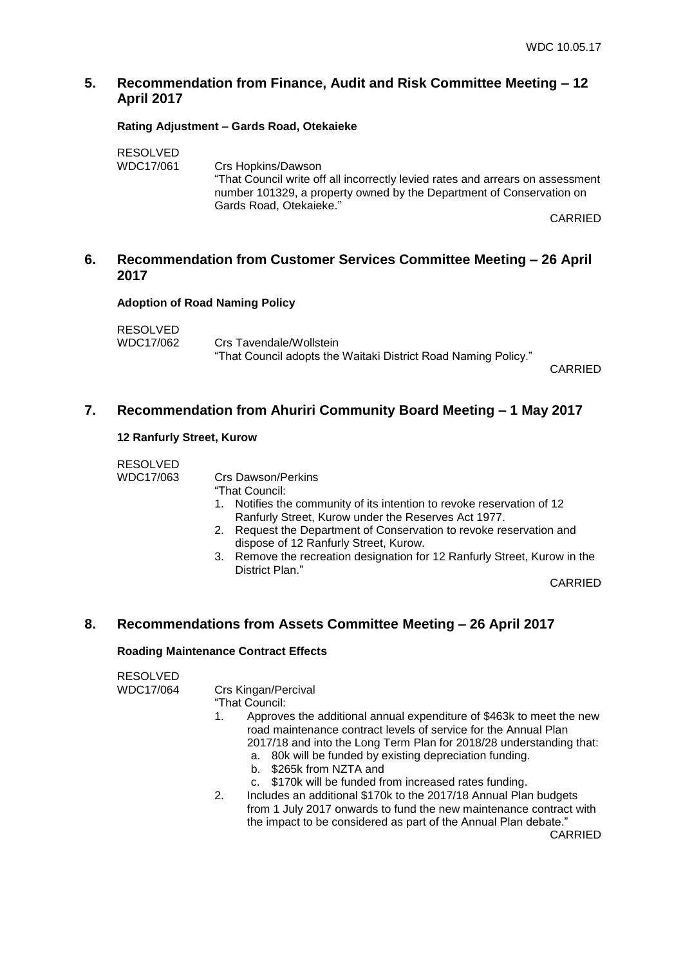# **5. Recommendation from Finance, Audit and Risk Committee Meeting – 12 April 2017**

#### **Rating Adjustment – Gards Road, Otekaieke**

| <b>RESOLVED</b> |                                                                                                                                                                                   |
|-----------------|-----------------------------------------------------------------------------------------------------------------------------------------------------------------------------------|
| WDC17/061       | Crs Hopkins/Dawson                                                                                                                                                                |
|                 | "That Council write off all incorrectly levied rates and arrears on assessment<br>number 101329, a property owned by the Department of Conservation on<br>Gards Road, Otekaieke." |
|                 |                                                                                                                                                                                   |

CARRIED

# **6. Recommendation from Customer Services Committee Meeting – 26 April 2017**

#### **Adoption of Road Naming Policy**

| RESOLVED  |                                                                |  |
|-----------|----------------------------------------------------------------|--|
| WDC17/062 | Crs Tavendale/Wollstein                                        |  |
|           | "That Council adopts the Waitaki District Road Naming Policy." |  |

CARRIED

# **7. Recommendation from Ahuriri Community Board Meeting – 1 May 2017**

#### **12 Ranfurly Street, Kurow**

| <b>RESOLVED</b> |                                                                        |
|-----------------|------------------------------------------------------------------------|
| WDC17/063       | Crs Dawson/Perkins                                                     |
|                 | "That Council:                                                         |
|                 | 1. Notifies the community of its intention to revoke reservation of 12 |
|                 | Ranfurly Street, Kurow under the Reserves Act 1977.                    |

- 2. Request the Department of Conservation to revoke reservation and dispose of 12 Ranfurly Street, Kurow.
- 3. Remove the recreation designation for 12 Ranfurly Street, Kurow in the District Plan."

CARRIED

# **8. Recommendations from Assets Committee Meeting – 26 April 2017**

## **Roading Maintenance Contract Effects**

# RESOLVED

WDC17/064 Crs Kingan/Percival

"That Council:

- 1. Approves the additional annual expenditure of \$463k to meet the new road maintenance contract levels of service for the Annual Plan 2017/18 and into the Long Term Plan for 2018/28 understanding that:
	- a. 80k will be funded by existing depreciation funding.
	- b. \$265k from NZTA and
	- c. \$170k will be funded from increased rates funding.
- 2. Includes an additional \$170k to the 2017/18 Annual Plan budgets from 1 July 2017 onwards to fund the new maintenance contract with the impact to be considered as part of the Annual Plan debate."

CARRIED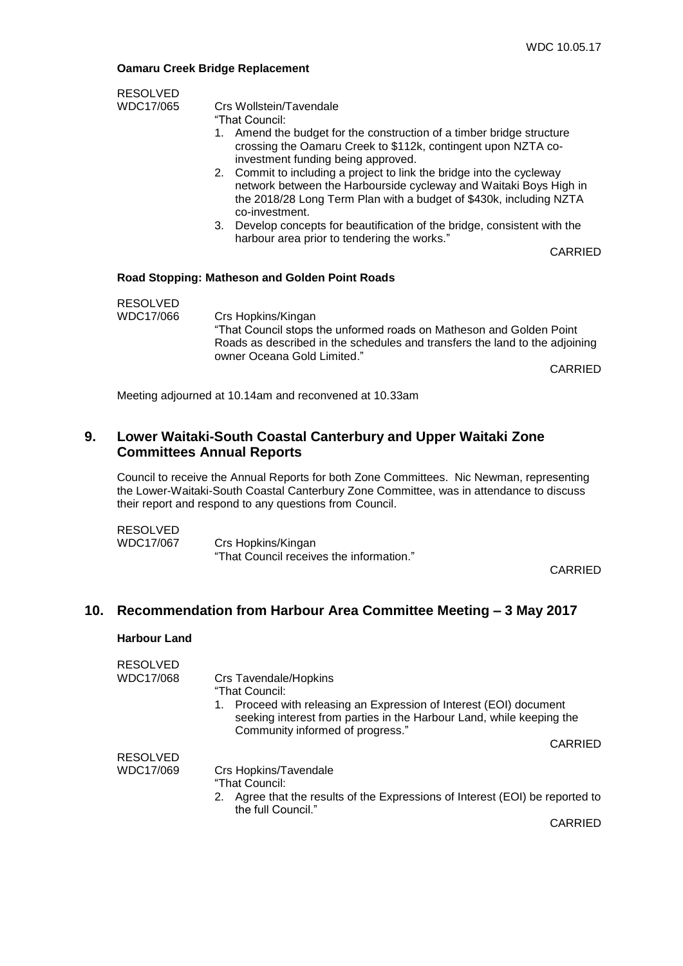#### **Oamaru Creek Bridge Replacement**

| <b>RESOLVED</b> |                                                                                                                                                                                                                                    |         |
|-----------------|------------------------------------------------------------------------------------------------------------------------------------------------------------------------------------------------------------------------------------|---------|
| WDC17/065       | Crs Wollstein/Tavendale                                                                                                                                                                                                            |         |
|                 | "That Council:                                                                                                                                                                                                                     |         |
|                 | Amend the budget for the construction of a timber bridge structure<br>1.<br>crossing the Oamaru Creek to \$112k, contingent upon NZTA co-<br>investment funding being approved.                                                    |         |
|                 | 2. Commit to including a project to link the bridge into the cycleway<br>network between the Harbourside cycleway and Waitaki Boys High in<br>the 2018/28 Long Term Plan with a budget of \$430k, including NZTA<br>co-investment. |         |
|                 | 3. Develop concepts for beautification of the bridge, consistent with the                                                                                                                                                          |         |
|                 | harbour area prior to tendering the works."                                                                                                                                                                                        | CARRIED |
|                 | <b>Road Stopping: Matheson and Golden Point Roads</b>                                                                                                                                                                              |         |
| <b>RESOLVED</b> |                                                                                                                                                                                                                                    |         |
| WDC17/066       | Crs Hopkins/Kingan<br>"That Council stops the unformed roads on Matheson and Golden Point<br>Roads as described in the schedules and transfers the land to the adjoining<br>owner Oceana Gold Limited."                            | CARRIED |
|                 |                                                                                                                                                                                                                                    |         |
|                 | Meeting adjourned at 10.14am and reconvened at 10.33am                                                                                                                                                                             |         |

# **9. Lower Waitaki-South Coastal Canterbury and Upper Waitaki Zone Committees Annual Reports**

Council to receive the Annual Reports for both Zone Committees. Nic Newman, representing the Lower-Waitaki-South Coastal Canterbury Zone Committee, was in attendance to discuss their report and respond to any questions from Council.

| <b>RESOLVED</b> |                                          |
|-----------------|------------------------------------------|
| WDC17/067       | Crs Hopkins/Kingan                       |
|                 | "That Council receives the information." |

CARRIED

# **10. Recommendation from Harbour Area Committee Meeting – 3 May 2017**

#### **Harbour Land**

| <b>RESOLVED</b> |                                                                                                          |                |
|-----------------|----------------------------------------------------------------------------------------------------------|----------------|
| WDC17/068       | Crs Tavendale/Hopkins                                                                                    |                |
|                 | "That Council:                                                                                           |                |
|                 | Proceed with releasing an Expression of Interest (EOI) document<br>1.                                    |                |
|                 | seeking interest from parties in the Harbour Land, while keeping the<br>Community informed of progress." |                |
|                 |                                                                                                          | <b>CARRIED</b> |
| <b>RESOLVED</b> |                                                                                                          |                |
| WDC17/069       | Crs Hopkins/Tavendale                                                                                    |                |
|                 | "That Council:                                                                                           |                |
|                 | Agree that the results of the Expressions of Interest (EOI) be reported to<br>2.<br>the full Council."   |                |
|                 |                                                                                                          | CADDIEN        |

CARRIED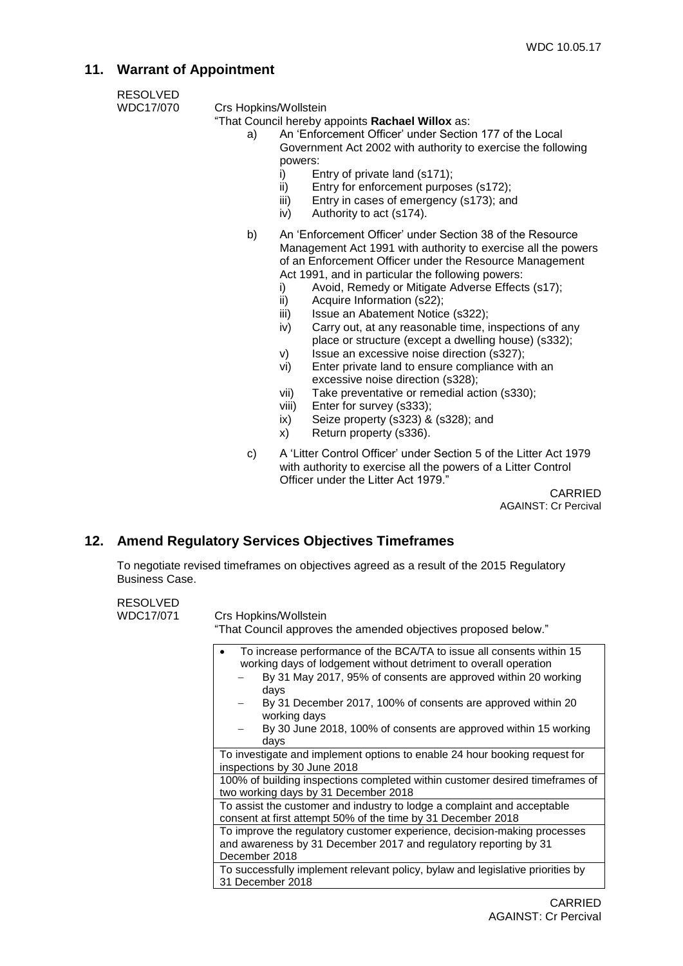# **11. Warrant of Appointment**

RESOLVED<br>WDC17/070

Crs Hopkins/Wollstein

"That Council hereby appoints **Rachael Willox** as:

- a) An 'Enforcement Officer' under Section 177 of the Local Government Act 2002 with authority to exercise the following powers:
	- i) Entry of private land (s171);
	- ii) Entry for enforcement purposes (s172);
	- iii) Entry in cases of emergency (s173); and
	- iv) Authority to act (s174).
- b) An 'Enforcement Officer' under Section 38 of the Resource Management Act 1991 with authority to exercise all the powers of an Enforcement Officer under the Resource Management Act 1991, and in particular the following powers:
	- i) Avoid, Remedy or Mitigate Adverse Effects (s17);
	- ii) Acquire Information (s22);
	- iii) Issue an Abatement Notice (s322);
	- iv) Carry out, at any reasonable time, inspections of any place or structure (except a dwelling house) (s332);
	- v) Issue an excessive noise direction (s327);
	- vi) Enter private land to ensure compliance with an excessive noise direction (s328);
	- vii) Take preventative or remedial action (s330);
	- viii) Enter for survey (s333);
	- ix) Seize property (s323) & (s328); and
	- x) Return property (s336).
- c) A 'Litter Control Officer' under Section 5 of the Litter Act 1979 with authority to exercise all the powers of a Litter Control Officer under the Litter Act 1979."

CARRIED AGAINST: Cr Percival

# **12. Amend Regulatory Services Objectives Timeframes**

To negotiate revised timeframes on objectives agreed as a result of the 2015 Regulatory Business Case.

RESOLVED

WDC17/071 Crs Hopkins/Wollstein

"That Council approves the amended objectives proposed below."

|                  | To increase performance of the BCA/TA to issue all consents within 15<br>working days of lodgement without detriment to overall operation<br>By 31 May 2017, 95% of consents are approved within 20 working |
|------------------|-------------------------------------------------------------------------------------------------------------------------------------------------------------------------------------------------------------|
| days             |                                                                                                                                                                                                             |
|                  | By 31 December 2017, 100% of consents are approved within 20<br>working days                                                                                                                                |
| days             | By 30 June 2018, 100% of consents are approved within 15 working                                                                                                                                            |
|                  | To investigate and implement options to enable 24 hour booking request for<br>inspections by 30 June 2018                                                                                                   |
|                  | 100% of building inspections completed within customer desired timeframes of<br>two working days by 31 December 2018                                                                                        |
|                  | To assist the customer and industry to lodge a complaint and acceptable<br>consent at first attempt 50% of the time by 31 December 2018                                                                     |
| December 2018    | To improve the regulatory customer experience, decision-making processes<br>and awareness by 31 December 2017 and regulatory reporting by 31                                                                |
| 31 December 2018 | To successfully implement relevant policy, bylaw and legislative priorities by                                                                                                                              |